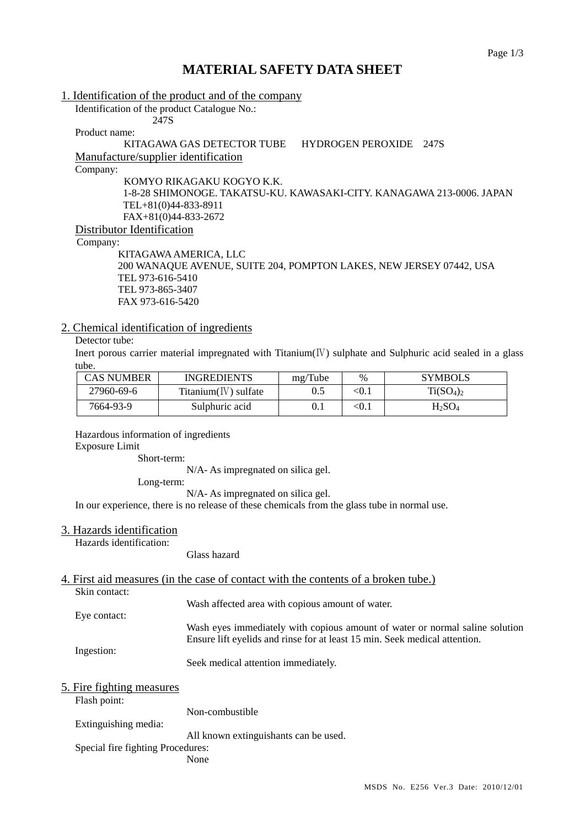# **MATERIAL SAFETY DATA SHEET**

1. Identification of the product and of the company

Identification of the product Catalogue No.: 247S

Product name:

KITAGAWA GAS DETECTOR TUBE HYDROGEN PEROXIDE 247S Manufacture/supplier identification

Company:

KOMYO RIKAGAKU KOGYO K.K. 1-8-28 SHIMONOGE. TAKATSU-KU. KAWASAKI-CITY. KANAGAWA 213-0006. JAPAN TEL+81(0)44-833-8911 FAX+81(0)44-833-2672 Distributor Identification

Company:

 KITAGAWA AMERICA, LLC 200 WANAQUE AVENUE, SUITE 204, POMPTON LAKES, NEW JERSEY 07442, USA TEL 973-616-5410 TEL 973-865-3407 FAX 973-616-5420

### 2. Chemical identification of ingredients

### Detector tube:

Inert porous carrier material impregnated with Titanium $(V)$  sulphate and Sulphuric acid sealed in a glass tube.

| CAS NUMBER | <b>INGREDIENTS</b>        | mg/Tube | $\%$    | <b>SYMBOLS</b> |
|------------|---------------------------|---------|---------|----------------|
| 27960-69-6 | $T$ itanium $(V)$ sulfate | 0.5     | $<$ 0.1 | $Ti(SO_4)_2$   |
| 7664-93-9  | Sulphuric acid            | 0.1     | <0.i    | $H_2SO_4$      |

Hazardous information of ingredients

Exposure Limit

Short-term:

N/A- As impregnated on silica gel.

Long-term:

N/A- As impregnated on silica gel.

In our experience, there is no release of these chemicals from the glass tube in normal use.

#### 3. Hazards identification

Hazards identification:

Glass hazard

## 4. First aid measures (in the case of contact with the contents of a broken tube.)

Skin contact:

Wash affected area with copious amount of water.

Eye contact: Wash eyes immediately with copious amount of water or normal saline solution Ensure lift eyelids and rinse for at least 15 min. Seek medical attention.

Ingestion:

Seek medical attention immediately.

| 5. Fire fighting measures |  |  |  |  |
|---------------------------|--|--|--|--|
|---------------------------|--|--|--|--|

Flash point:

Non-combustible

Extinguishing media:

All known extinguishants can be used.

Special fire fighting Procedures:

None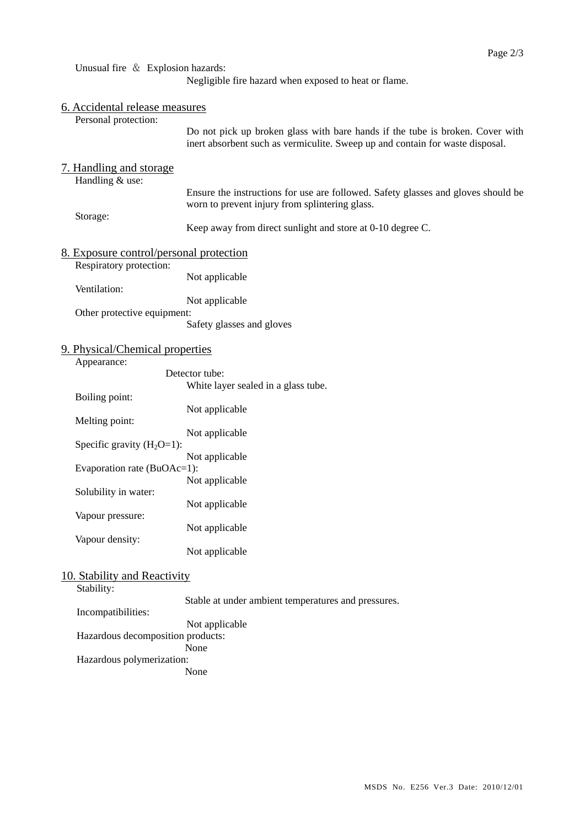Unusual fire & Explosion hazards:

Negligible fire hazard when exposed to heat or flame.

|  | 6. Accidental release measures<br>Personal protection:                                                                                                                                                                                                                   |                                                                                                                                                                                                                                                    |
|--|--------------------------------------------------------------------------------------------------------------------------------------------------------------------------------------------------------------------------------------------------------------------------|----------------------------------------------------------------------------------------------------------------------------------------------------------------------------------------------------------------------------------------------------|
|  |                                                                                                                                                                                                                                                                          | Do not pick up broken glass with bare hands if the tube is broken. Cover with<br>inert absorbent such as vermiculite. Sweep up and contain for waste disposal.                                                                                     |
|  | 7. Handling and storage<br>Handling & use:                                                                                                                                                                                                                               |                                                                                                                                                                                                                                                    |
|  |                                                                                                                                                                                                                                                                          | Ensure the instructions for use are followed. Safety glasses and gloves should be<br>worn to prevent injury from splintering glass.                                                                                                                |
|  | Storage:                                                                                                                                                                                                                                                                 | Keep away from direct sunlight and store at 0-10 degree C.                                                                                                                                                                                         |
|  | 8. Exposure control/personal protection<br>Respiratory protection:                                                                                                                                                                                                       |                                                                                                                                                                                                                                                    |
|  | Not applicable                                                                                                                                                                                                                                                           |                                                                                                                                                                                                                                                    |
|  | Other protective equipment:                                                                                                                                                                                                                                              | Not applicable<br>Safety glasses and gloves                                                                                                                                                                                                        |
|  | 9. Physical/Chemical properties<br>Appearance:                                                                                                                                                                                                                           |                                                                                                                                                                                                                                                    |
|  | Boiling point:<br>Melting point:<br>Specific gravity $(H_2O=1)$ :<br>Evaporation rate (BuOAc=1):<br>Solubility in water:<br>Vapour pressure:<br>Vapour density:<br>10. Stability and Reactivity<br>Stability:<br>Incompatibilities:<br>Hazardous decomposition products: | White layer sealed in a glass tube.<br>Not applicable<br>Not applicable<br>Not applicable<br>Not applicable<br>Not applicable<br>Not applicable<br>Not applicable<br>Stable at under ambient temperatures and pressures.<br>Not applicable<br>None |
|  | Hazardous polymerization:                                                                                                                                                                                                                                                | None                                                                                                                                                                                                                                               |